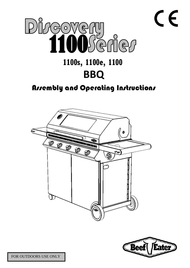



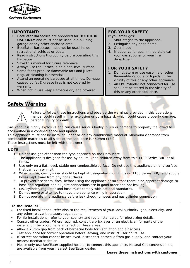

### **IMPORTANT:**

- BeefEater Barbecues are approved for **OUTDOOR USE ONLY** and must not be used in a building, garage or any other enclosed area.
- BeefEater Barbecues must not be used inside recreational vehicles or boats.
- Read instructions thoroughly before operating this Barbecue.
- Save this manual for future reference.
- Always use the Barbecue on a flat, level surface.
- Some foods produce flammable fats and juices. Regular cleaning is essential.
- Attend an operating barbecue at all times. Damage caused by fat & grease fires is not covered by warranty.
- When not in use keep Barbecue dry and covered.

# **FOR YOUR SAFETY**

- If you smell gas:
- 1. Shut off gas to the appliance.
- 2. Extinguish any open flame.
- 3. Open hood.
- 4. If odour continues, immediately call your gas supplier or your fire department.

# **FOR YOUR SAFETY**

- 1. Do not store or use gasoline or other flammable vapours or liquids in the vicinity of this or any other appliance.
- 2. An LPG cylinder not connected for use shall not be stored in the vicinity of this or any other appliance.

# **Safety Warning**



Failure to follow these instructions and observe the warnings provided in this operations manual could result in fire, explosion or burn hazard, which could cause property damage, personal injury or death.

Gas vapour is highly explosive and can cause serious bodily injury or damage to property if allowed to accumulate in a confined space and ignited.

This appliance must not be installed under or on any combustible material. Minimum clearance from combustible materials to all sides of the appliance is 450mm (18").

These instructions must be left with the owner.

# **NOTE**

- 1. Do not use gas other than the type specified on the Data Plate
- 2. The appliance is designed for use by adults, keep children away from this 1100 Series BBQ at all times.
- 3. Use only on a flat, level, stable non-combustible surface. Do not use this appliance on any surface that can burn or melt.
- 4. When in use, gas cylinder should be kept at designated mountings on 1100 Series BBQ, and supply hoses kept away from any hot surfaces.
- 5. To prevent accidental fires, before using the appliance ensure that there is no apparent damage to hose and regulator and all joint connections are in good order and not leaking.
- 6. LPG cylinder, regulator and hose must comply with national standards.
- 7. Do not move or attempt to move the appliance while in operation.
- 8. Do not operate this appliance before leak checking hoses and gas cylinder connection.

## **To the installer:**

- For fixed installations, refer also to the requirements of your local authority, gas, electricity, and any other relevant statutory regulations.
- For fix installations, refer to your country and region standards for pipe sizing details.
- Consult other trades. Where required, consult a bricklayer or an electrician for parts of the installation that could have an effect on these areas.
- Allow a 20mm gap from back of barbecue body for ventilation and air access.
- Test appliance for correct operation before leaving, and instruct user on its use.
- If correct operation cannot be achieved, disconnect barbecue from gas supply, and contact your nearest BeefEater dealer.
- Please only use BeefEater supplied hose(s) to connect this appliance. Natural Gas conversion kits are available from your nearest BeefEater dealer.

#### **Leave these instructions with customer**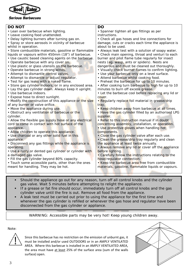

| <b>DO NOT</b>                                           | <b>DO</b>                                           |
|---------------------------------------------------------|-----------------------------------------------------|
| • Lean over barbecue when lighting.                     | • Spanner tighten all gas fittings as per           |
| • Leave cooking food unattended.                        | instructions.                                       |
| • Delay lighting burners after turning gas on.          | • Check all gas hoses and line connections for      |
| • Spray or store aerosols in vicinity of barbecue       | damage, cuts or cracks each time the appliance is   |
| whilst in operation.                                    | about to be used.                                   |
| · Store combustible materials, gasoline or flammable    | • Always leak test with a solution of soapy water.  |
| liquids or vapours within 450mm (18") of barbecue.      | • Check main opening, throat and venturi to each    |
| • Use caustic based cleaning agents on the barbecue.    | burner and pilot flame tube regularly for insect    |
| • Operate barbecue with any cover on.                   | nests (eg. wasp, ants or spiders). Nests are        |
| . Use plastic or glass utensils on the barbecue.        | dangerous and must be cleaned out thoroughly.       |
| • Operate barbecue in strong winds.                     | . Visually check burner flames to confirm lighting. |
| • Attempt to dismantle control valves.                  | · Use your barbecue only on a level surface.        |
| • Attempt to dismantle or adjust regulator.             | • Attend barbecue whilst cooking food.              |
| · Test for gas leaks with a naked flame.                | • Preheat the barbecue for up to 10 minutes.        |
| · Store gas cylinder indoors, or in any enclosed area.  | • After cooking turn barbecue to high for up to 10  |
| . Lay the gas cylinder down. Always keep it upright.    | minutes to burn off excess grease.                  |
| • Use barbecue indoors.                                 | • Let the barbecue cool before replacing any lid or |
| • Expose hose to direct sunlight.                       | cover.                                              |
| • Modify the construction of this appliance or the size | • Regularly replace foil material in grease/drip    |
| of any burner or valve orifice.                         | tray.                                               |
| . Move the appliance during use.                        | . Keep children away from barbecue at all times.    |
| • Obstruct any ventilation of barbecue or the           | . Have the gas cylinder filled by an authorised LPG |
| cylinder.                                               | supplier.                                           |
| • Allow the flexible gas supply hose or any electrical  | • Refer to this instruction manual if in doubt      |
| cord to come in contact with hot surface of the         | concerning assembly, installation, or operation.    |
| appliance.                                              | . Use protective gloves when handling hot           |
| • Allow children to operate this appliance.             | components.                                         |
| • Use charcoal or any other solid fuel in this          | • Close the gas cylinder valve after each use.      |
| appliance.                                              | • Clean the grease/drip tray regularly and clean    |
| • Disconnect any gas fittings while the appliance is    | the appliance at least twice annually.              |
| operating.                                              | • Always remove any lid or cover off the appliance  |
| . Use a rusty or dented gas cylinder or cylinder with   | before lighting.                                    |
| a damaged gas valve.                                    | • Carefully follow the instructions relating to the |
| • Fill the gas cylinder beyond 80% capacity.            | hose/regulator connection.                          |
| • Touch some accessible parts, other than the ones      | . Keep the barbecue area free from combustible      |
| meant for handling. They may be hot.                    | materials, gasoline, flammable liquids or vapours.  |
|                                                         |                                                     |

- Should the appliance go out for any reason, turn off all control knobs and the cylinder gas valve. Wait 5 minutes before attempting to relight the appliance.
- If a grease or fat fire should occur, immediately turn off all control knobs and the gas cylinder valve until the fire is out. Remove all food from the appliance.
- A leak test must be carried out prior to using the appliance for the first time and whenever the gas cylinder is refilled or whenever the gas hose and regulator have been disconnected from the gas cylinder or appliance.

WARNING: Accessible parts may be very hot! Keep young children away.

# Note:



Since this barbecue has no restriction on the emission of unburnt gas, it must be installed and/or used OUTDOORS or in an AMPLY VENTILATED AREA. Where this barbecue is installed in an AMPLY VENTILATED AREA, the area must have at least 25% of the surface area (sum of the walls surface) open.

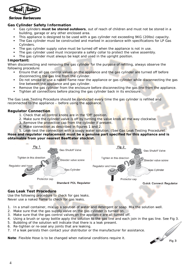

# **Gas Cylinder Safety Information**

- Gas cylinders **must be stored outdoors**, out of reach of children and must not be stored in a building, garage or any other enclosed area.
- This appliance is designed to be used with a gas cylinder not exceeding 9KG (20lbs) capacity.
- The Gas cylinder must be constructed and marked in accordance with specifications for LP Gas Cylinders.
- The gas cylinder supply valve must be turned off when the appliance is not in use.
- The gas cylinder used must incorporate a safety collar to protect the valve assembly.
- The gas cylinder must always be kept and used in the upright position.

#### **Important:**

When disconnecting and removing the gas cylinder for the purpose of refilling, always observe the following procedure:

- Ensure that all gas control valves on the appliance and the gas cylinder are turned off before disconnecting the gas line from the cylinder.
- Do not smoke or use a naked flame near the appliance or gas cylinder while disconnecting the gas line between the appliance and gas cylinder.
- Remove the gas cylinder from the enclosure before disconnecting the gas line from the appliance.
- Tighten all connections before placing the gas cylinder back in its enclosure.

The Gas Leak Testing Procedure should be conducted every time the gas cylinder is refilled and reconnected to the appliance – before using the appliance.

#### **Regulator Connection**

- 1. Check that all control knobs are in the 'Off' position.
- 2. Make sure the cylinder valve is off by turning the valve knob all the way clockwise.
- 3. Remove the protective cap from the cylinder if present.
- 4. Make connection as described in figures 1 and 2.

5. Leak-test the connection with a soapy water solution. (See Gas Leak Testing Procedure).

**Hose and regulator replacement must be a genuine part specified for this appliance and is obtainable from your nearest BeefEater stockist.**



## **Gas Leak Test Procedure**

Use the following procedure to check for gas leaks. Never use a naked flame to check for gas leaks.

- 1. In a small container, mix up a solution of water and detergent or soap. Mix the solution well.
- 2. Make sure that the gas supply valve on the gas cylinder is turned on.
- 3. Make sure that the gas control valves on the appliance are all turned off.
- 4. Using a brush or spray bottle apply the solution to the gas line and each join in the gas line. See Fig 3.

Fig 3

- 5. Bubbling of the solution will indicate that there is a leak present.
- 6. Re-tighten or re-seal any joints that are leaking.
- 7. If a leak persists then contact your distributor or the manufacturer for assistance.

**Note**: Flexible Hose is to be changed when national conditions require it.

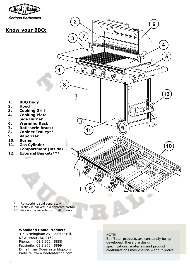

#### **Woodland Home Products**

3-5 Birmingham Av, Chester Hill, NSW, Australia, 2162 Phone: 61 2 9724 8888 Facsimile: 61 2 9724 8899 E-mail: mail@beefeaterbbq.com Website: www.beefeaterbbq.com

#### NOTE:

BeefEater products are constantly being developed, therefore design, specifications, materials and product configurations may change without notice.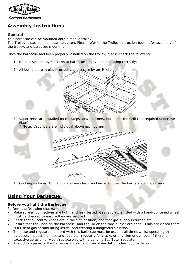

# **Assembly Instructions**

# **General**

This barbecue can be mounted onto a mobile trolley.

The Trolley is packed in a separate carton. Please refer to the Trolley instruction booklet for assembly of the trolley, and barbecue mounting.

Once the barbecue had been properly installed on the trolley, please check the following:

- 1. Hood is secured by 4 screws to barbecue's body, and operating correctly.
- 2. All burners are in place correctly and secure by an 'R' clip.

- 3. Vaporizers\* are installed on the steps above burners, but under the Grill (not required under the Plate).
- **\* Note**: Vaporizers are individual above each burner.
- 4. Cooking surfaces (Grill and Plate) are clean, and installed over the burners and vaporizers.

# **Using Your Barbecue:**

# **Before you light the Barbecue**

Perform the following checks:

- Make sure all connections are tight, and leak-tested. Gas regulators fitted with a hand-tightened wheel must be checked to ensure they are secured.
- Check that all control knobs are in the 'Off' position, and that gas supply is turned off.
- Ensure that the Hood on the barbecue, and the Lid on the side-burner are open. If lids are closed there is a risk of gas accumulating inside, and creating a dangerous situation.
- The hose and regulator supplied with this barbecue must be used at all times whilst operating this barbecue. Inspect the hose and regulator regularly for cracks or any sign of damage. If there is excessive abrasion or wear, replace only with a genuine BeefEater regulator.
- The bottom panel of the Barbecue is clean and free of any fat or other food particles.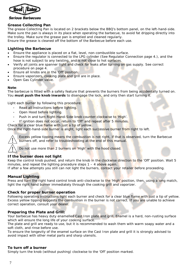

## **Grease Collecting Pan**

The grease Collecting Pan is located on 2 brackets below the BBQ's bottom panel, on the left-hand-side. Make sure the pan is always in its place when operating the barbecue, to avoid fat dripping directly into the trolley. Make sure the grease pan is emptied and cleaned regularly.

Ensure the grease is cleaned off the bottom of the Barbecue before each use.

## **Lighting the Barbecue**

- Ensure the appliance is placed on a flat, level, non-combustible surface.
- Ensure the regulator is connected to the LPG cylinder (See Regulator Connection page 4.), and the hose is not subject to any twisting, and is not close to hot surfaces.
- Verify all joints are spanner tight and check for leaks after turning on gas supply. See correct procedure on page 4.
- Ensure all knobs are in the 'Off' position.
- Ensure vaporizers, cooking plate and grill are in place.
- Open Gas Cylinder valve.

#### **Note**:

The barbecue is fitted with a safety feature that prevents the burners from being accidentally turned on. You **must push the knob inwards** to disengage the lock, and only then start turning it.

Light each burner by following this procedure:

- Read all instructions before lighting.
- Open Hood before lighting.
- Push in and turn Right-Hand-Side knob counter-clockwise to 'High'.
- If ignition does not occur, return to 'Off' and repeat after 5 minutes.
- Check for a clear blue flame with just a tip of yellow.

Once the right-hand-side burner is alight, light each successive burner from right to left.

Excess yellow tipping means the combustion is not right, if that is observed, turn the Barbecue burners off, and refer to troubleshooting at the end of this manual.

Do not use more than 2 burners on 'High' with the hood closed.

## **If the burner does not light**

Keep the control knob pushed, and return the knob in the clockwise direction to the 'Off' position. Wait 5 minutes, and repeat the lighting procedure steps 1 – 4 above again.

If after a few attempts you still can not light the burners, contact your retailer before proceeding.

# **Manual Lighting**

Press and turn the right hand control knob anti-clockwise to the 'High' position, then, using a long match, light the right hand burner immediately through the cooking grill and vaporizer.

## **Check for proper burner operation**

Following operating instructions light each burner and check for a clear blue flame with just a tip of yellow. Excess yellow tipping suggests the combustion in the burner is not correct. If you are unable to achieve correct operation, consult your dealer.

## **Preparing the Plate and Grill:**

Your barbecue has heavy duty enamelled Cast Iron plate and grill. Enamel is a hard, non-rusting surface which will ensure the long life of your cooking surface.

The plate and grill are ready to use, but it is recommended to wash them with warm soapy water and a soft cloth, and rinse before use.

To ensure the longevity of the enamel surface on the Cast Iron plate and grill it is strongly advised to avoid impact with other metal parts and sharp utensils.

## **To turn off a burner**

Simply turn the knob (without pushing) clockwise to the 'Off' position marked.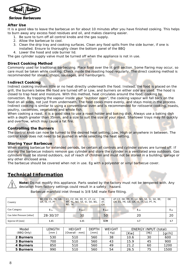

### **After Use**

It is a good idea to leave the barbecue on for about 10 minutes after you have finished cooking. This helps to burn away any excess food residues and oil, and makes cleaning easier.

- 1. Be sure to turn off all control knobs and the gas supply.
- 2. Allow the barbecue to cool.
- 3. Clean the drip tray and cooking surfaces. Clean any food spills from the side burner, if one is installed. Ensure to thoroughly clean the bottom panel of the BBQ
- 4. Lower the hood and side burner lid.

The gas cylinder supply valve must be turned off when the appliance is not in use.

#### **Direct Cooking Method**

Commonly used for traditional barbecuing. Place food over the lit grill section. Some flaring may occur, so care must be taken while cooking. Check inside the roasting hood regularly. The direct cooking method is recommended for steaks, chops, sausages, and hamburgers.

#### **Indirect Cooking**

Indirect cooking involves little or no heat directly underneath the food. Instead, the food is placed on the grill, the burners below the food are turned off or Low, and burners on either side are used. The hood is closed to trap heat and moisture. With this method, heat circulates around the food, cooking by convection. By trapping the vapour inside your "outdoor oven", the cooking vapour will fall back on the food on all sides, not just from underneath. The food cooks more evenly, and stays moist in the process. Indirect cooking is similar to using a conventional oven and is recommended for rotisserie cooking, roasts, poultry, casseroles, vegetables and whole fish.

When cooking a roast, it is a good idea to use a roast holder and baking dish. Always use a baking dish with a depth greater than 35mm, and a size to suit the size of your roast. Shallower trays may fill quickly and overflow, which may cause a fat fire.

#### **Controlling the Burners**

The control knob can now be turned to the desired heat setting, Low, High or anywhere in between. The control knob does not need to be pushed in while selecting the heat setting.

#### **Storing Your Barbecue**

When storing barbecue for extended periods, be certain all controls and cylinder valves are turned off. If storing the barbecue indoors remove gas cylinder and store the cylinder in a ventilated area outdoors. Gas cylinders must be stored outdoors, out of reach of children and must not be stored in a building, garage or any other enclosed area.

The barbecue should be covered when not in use. Eq with a polyester or vinyl barbecue cover.

# **Technical Information**



**Note:** Do not modify this appliance. Parts sealed by the factory must not be tempered with. Any deviation from factory settings could result in a safety hazard.

|                             | BE, CH, ES, FR, GB, | CY, CZ, DK, EE, FI, LT, LV, | DE.   | AT, CZ, DK, EE, FI, LV, NO, SE, SI, SK, BE, | DE  |
|-----------------------------|---------------------|-----------------------------|-------|---------------------------------------------|-----|
| Country                     | GR, IE, IT, PT      | MT, NL, NO, SE, SI, SK, BG, | AT,   | CH, ES, FR, GB, GR, IE, IT, LU, PT, PL      |     |
|                             |                     | RO. TK                      | CH    |                                             |     |
| <b>Gas Category</b>         | $13+$               | 3B/P                        | 13B/P | 12H                                         | 12F |
|                             |                     |                             |       |                                             |     |
| Gas Inlet Pressure [mbar]   | 28-30/37            | 30                          | 50    | 20                                          | 20  |
|                             |                     |                             |       |                                             |     |
|                             |                     |                             | 0.99  |                                             |     |
| Injector $\varnothing$ [mm] | 1.15                | 1.15                        |       | 1.7                                         | 1.7 |

Barbecue manifold inlet thread is 3/8 SAE male flare fitting.

| Model      | LENGTH | <b>HEIGHT</b>  | <b>DEPTH</b> | WEIGHT |      | <b>ENERGY INPUT</b> | (total) |
|------------|--------|----------------|--------------|--------|------|---------------------|---------|
| (BBQ Only) | [mm ]  | [Overall - mm] | [mm]         | Kg]    | [Kw] | [Mj]                | [gr/h]  |
| 2 Burners  | 530    | 510            | 560          | 38     | 10.6 | 30                  | 600     |
| 3 Burners  | 700    | 510            | 560          | 43     | 15.9 | 45                  | 900     |
| 4 Burners  | 850    | 510            | 560          | 49     | 21.2 | 60                  | 1200    |
| 5 Burners  | 990    | 510            | 560          | 54     | 26.5 | 75                  | 1500    |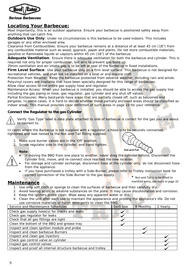

# **Locating Your Barbecue:**

Most importantly, this is an outdoor appliance. Ensure your barbecue is positioned safely away from anything that can catch fire.

**Outdoors Use Only:** Under no circumstances is this barbecue to be used indoors. This includes garages or any other enclosed area.

Clearance from Combustibles: Ensure your barbecue remains at a distance of at least 45 cm (18") from any combustible material such as wood, gyprock, paper and plants. Do not store combustible materials, gasoline or flammable liquids or vapours within 45 cm (18") of the barbecue.

**Adequate Ventilation**: Ensure there is adequate ventilation for both the barbecue and cylinder. This is required not only for proper combustion, but also to prevent gas build up.

20mm ventilation and air-intake gap is to be left at rear of the barbecue in fixed installations.

Firm Level Surface: Use your barbecue only on a firm level surface. This barbecue is not designed for recreational vehicles, and shall not be installed on a boat or any marine craft.

Protection from Weather: Keep the barbecue protected from adverse weather, including rain and winds. Polyvinyl covers are available that have been specially designed for this range of barbecues. Allow clear access to the entire gas supply hose and regulator.

Maintenance Access: When your barbecue is installed, you should be able to access the gas supply line including the gas piping or hose, gas regulator, gas cylinder and any shut off valves.

Partial Enclosures: Many backyards have areas that are partially closed off, such as balconies and pergolas. In some cases, it is hard to decide whether these partially enclosed areas should be classified as indoor areas. This manual provides clear definition of such areas in page 10 for your reference.

# **Connect the Regulator to the gas Cylinder**

Verify 'Gas Type' label & data plate attached to side of barbecue is correct for the gas you are about to connect to.

In cases where the Barbecue is not supplied with a regulator, a hose is to be securely connected, tightened and leak-tested to the Nut-and-Tail fitting supplied.

- 1. Make sure burner valves are in the 'Off' position.
- 2. Screw regulator side to the cylinder, and hand-tighten.

#### **Note**:

- If moving the BBQ from one place to another, never drag the cylinder behind. Disconnect the cylinder first, move, and re-connect once reached the new location.
- For storage and cylinder exchange, disconnect hose at the cylinder only, do not disconnect hose from the appliance.
- If you have purchased a trolley with a Side-Burner, please refer to Trolley instruction book for correct connection of the Side-Burner to the gas supply. **\*** Nut-and-Tail is to be fitted to

# **Maintenance**

- 1. Use only soft cloth or sponge to clean the surfaces of barbecue and then carefully dry.
- 2. Avoid leaving acidic or alkaline substances on the plate. It may cause discolouration and corrosion.
- 3. Keep the igniters probe clean. Wipe away any apparent water or dirt.
- 4. Clean the unit after each use to maintain the appearance and prolong the appliance's life. Do not use corrosive materials or harsh detergents to clean the BBQ.

| Service and Maintenance Schedules                             | Each Use | 6 Monthly | 2 Yearly |
|---------------------------------------------------------------|----------|-----------|----------|
| Check gas supply hose(s) for cracks and leaks                 |          |           |          |
| Check gas regulator for leaks                                 |          |           |          |
| Check that all gas fittings are tight                         |          |           |          |
| Clean the bottom of the BBQ and grease tray                   |          |           |          |
| Inspect and clean ignition module and probe                   |          |           |          |
| Inspect and clean barbecue Burners                            |          |           |          |
| Inspect and clean gas injectors                               |          |           |          |
| Check gas control valve on cylinder                           |          |           |          |
| Inspect gas control valves                                    |          |           |          |
| Inspect and proof all internal structure barbecue and trolley |          |           |          |



manifold entry, see more in page 10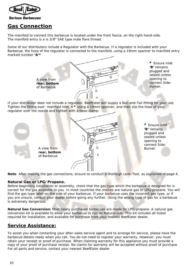

# **Gas Connection**

The manifold to connect this barbecue is located under the front fascia, on the right-hand-side. The manifold entry is a is 3/8" SAE type male flare thread.

Some of our distributors include a Regulator with the Barbecue. If a regulator is included with your Barbecue, the hose of the regulator is connected to the manifold, using a 19mm spanner to manifold entry marked number **'A'\***



If your distributor does not include a regulator, BeefEater will supply a Nut-and-Tail fitting for your use. Tighten the fitting over manifold inlet 'A'**\*** using a 19mm spanner, and then slip the hose of your regulator over the nozzle and tighten with a hose-clamp:



**Note**: After making the gas connections, ensure to conduct a thorough Leak-Test, as explained in page 4.

## **Natural Gas or LPG/Propane.**

Before beginning installation or assembly, check that the gas type which the barbecue is designed for is correct for the gas available to you. In most countries the choices are natural gas or LPG/propane. You will find the gas type label on the side of your barbecue. If your barbecue uses the incorrect gas type, or if you are unsure, consult your dealer before going any further. Using the wrong type of gas for a barbecue is extremely dangerous.

**Natural Gas Conversion:** Most newly purchased barbecues are made for LPG/propane. A natural gas conversion kit is available to allow your barbecue to run on Natural Gas. This kit includes all hoses required for installation, and available for purchase from your nearest BeefEater dealer.

# **Service Assistance:**

To assist you when contacting your after-sales service agent and to arrange for service, please have the barbecue details ready when you call. You do not need to register your warranty. However, you must retain your receipt or proof of purchase. When claiming warranty for this appliance you must provide a copy of your proof of purchase receipt. No claims for warranty will be accepted without proof of purchase. For all parts and service, contact your nearest BeefEater dealer.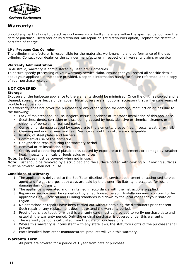

# **Warranty:**

Should any part fail due to defective workmanship or faulty materials within the specified period from the date of purchase, BeefEater or its distributor will repair or, (at distributors option), replace the defective part free of charge.

#### **LP / Propane Gas Cylinder**

The cylinder manufacturer is responsible for the materials, workmanship and performance of the gas cylinder. Contact your dealer or the cylinder manufacturer in respect of all warranty claims or service.

#### **Warranty Administration**

In Australia, warranty is administered by BeefEater Barbecues.

To ensure speedy processing of your warranty service claim, ensure that you record all specific details about your appliance in the space provided. Keep this information handy for future reference, and a copy of your purchase receipt.

## **NOT COVERED**

#### **Storage**

Exposure of the barbecue appliance to the elements should be minimised. Once the unit has cooled and is cleaned, store the barbecue under cover. Metal covers are an optional accessory that will ensure years of trouble free operation.

This warranty does not cover the purchaser or any other person for damage, malfunction or loss due to the following:

- **Lack of maintenance, abuse, neglect, misuse, accident or improper installation of this appliance.**
- Scratches, dents, corrosion or discolouring caused by heat, abrasive or chemical cleaners or chipping of porcelain or painted parts.
- Corrosion or damage caused by exposure to the elements, grease fires, insects, weather or hail.
- Cleaning and normal wear and tear. Service calls of this nature are chargeable.
- Rusting of steel plates and burners.
- Commercial use of the barbecue.
- Unauthorised repairs during the warranty period
- Removal or re-installation costs.
- Cracks and weathering of plastic parts caused by exposure to the elements or damage by weather, heat, insects, chemicals or foods acids or juices.
- **Note**: Barbecues must be covered when not in use.

**Note**: Rust should be removed by a scrub pad and the surface coated with cooking oil. Cooking surfaces must be covered when not in use.

#### **Conditions of Warranty**

- 1. The appliance is delivered to the BeefEater distributor's service department or authorised service agent and freight charges both ways are paid by the owner. No liability is accepted for loss or damage during transit.
- 2. The appliance is operated and maintained in accordance with the instructions supplied.
- 3. Repairs or service must be carried out by an authorised person. Installation must conform to the applicable Gas, Electrical and Building standards laid down by the local codes for your state or region.
- 4. No alterations or repairs have been carried out without obtaining the distributors prior consent. Such repair or any replacement does not extend the warranty period.
- 5. Proof of purchase together with this warranty card must be provided to verify purchase date and establish the warranty period. Only the original purchaser is covered under this warranty.
- 6. The warranty period is calculated from the date of purchase only.
- 7. Where this warranty is inconsistent with any state laws, the statutory rights of the purchaser shall prevail.
- 8. Parts installed from other manufacturers' products will void this warranty.

## **Warranty Term**

All parts are covered for a period of 1 year from date of purchase.